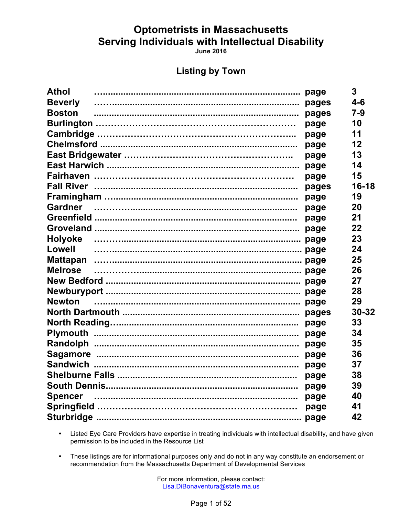**June 2016** 

### **Listing by Town**

| <b>Athol</b>   |      | 3       |
|----------------|------|---------|
| <b>Beverly</b> |      | $4-6$   |
| <b>Boston</b>  |      | $7 - 9$ |
|                | page | 10      |
|                | page | 11      |
|                | page | 12      |
|                | page | 13      |
|                | page | 14      |
|                | page | 15      |
|                |      | 16-18   |
|                | page | 19      |
|                | page | 20      |
|                | page | 21      |
|                |      | 22      |
|                |      | 23      |
| Lowell         |      | 24      |
|                |      | 25      |
| <b>Melrose</b> |      | 26      |
|                |      | 27      |
|                |      | 28      |
|                |      | 29      |
|                |      | 30-32   |
|                |      | 33      |
|                |      | 34      |
|                |      | 35      |
|                |      | 36      |
|                |      | 37      |
|                | page | 38      |
|                |      | 39      |
|                |      | 40      |
|                |      | 41      |
|                |      | 42      |
|                |      |         |

Listed Eye Care Providers have expertise in treating individuals with intellectual disability, and have given  $\bullet$  . permission to be included in the Resource List

• These listings are for informational purposes only and do not in any way constitute an endorsement or recommendation from the Massachusetts Department of Developmental Services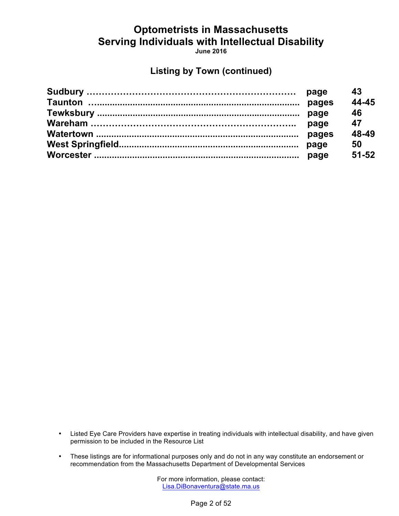**June 2016**

### **Listing by Town (continued)**

| page  | 43        |
|-------|-----------|
|       | 44-45     |
|       | 46        |
| page  | 47        |
| pages | 48-49     |
|       | 50        |
|       | $51 - 52$ |
|       |           |

- Listed Eye Care Providers have expertise in treating individuals with intellectual disability, and have given permission to be included in the Resource List
- These listings are for informational purposes only and do not in any way constitute an endorsement or recommendation from the Massachusetts Department of Developmental Services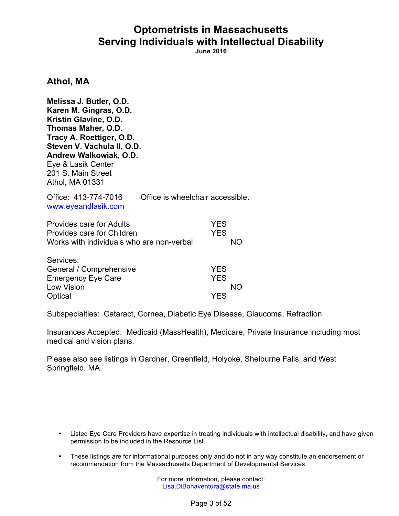**June 2016**

### **Athol, MA**

**Melissa J. Butler, O.D. Karen M. Gingras, O.D. Kristin Glavine, O.D. Thomas Maher, O.D. Tracy A. Roettiger, O.D. Steven V. Vachula II, O.D. Andrew Walkowiak, O.D.** Eye & Lasik Center 201 S. Main Street Athol, MA 01331

| Office: 413-774-7016<br>www.eyeandlasik.com                                                         | Office is wheelchair accessible. |                          |    |
|-----------------------------------------------------------------------------------------------------|----------------------------------|--------------------------|----|
| Provides care for Adults<br>Provides care for Children<br>Works with individuals who are non-verbal |                                  | <b>YES</b><br><b>YES</b> | NΟ |
| Services:<br>General / Comprehensive<br><b>Emergency Eye Care</b><br><b>Low Vision</b>              |                                  | <b>YES</b><br><b>YES</b> |    |

Optical YES

Subspecialties: Cataract, Cornea, Diabetic Eye Disease, Glaucoma, Refraction

Insurances Accepted: Medicaid (MassHealth), Medicare, Private Insurance including most medical and vision plans.

Please also see listings in Gardner, Greenfield, Holyoke, Shelburne Falls, and West Springfield, MA.

- Listed Eye Care Providers have expertise in treating individuals with intellectual disability, and have given permission to be included in the Resource List
- These listings are for informational purposes only and do not in any way constitute an endorsement or recommendation from the Massachusetts Department of Developmental Services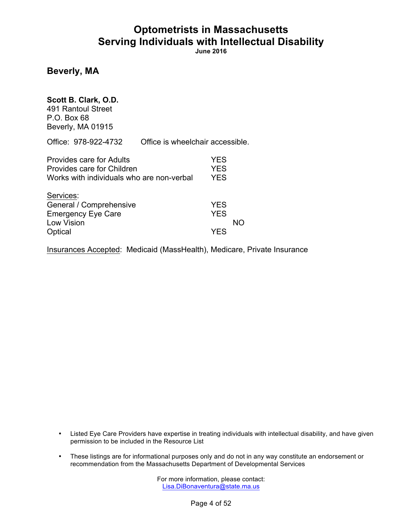**June 2016**

### **Beverly, MA**

### **Scott B. Clark, O.D.**

491 Rantoul Street P.O. Box 68 Beverly, MA 01915

Office: 978-922-4732 Office is wheelchair accessible.

| Provides care for Adults<br>Provides care for Children | <b>YES</b><br><b>YES</b> |    |
|--------------------------------------------------------|--------------------------|----|
| Works with individuals who are non-verbal              | <b>YES</b>               |    |
| Services:                                              |                          |    |
| General / Comprehensive                                | <b>YES</b>               |    |
| <b>Emergency Eye Care</b>                              | <b>YES</b>               |    |
| <b>Low Vision</b>                                      |                          | NΟ |
| Optical                                                | <b>YES</b>               |    |

Insurances Accepted: Medicaid (MassHealth), Medicare, Private Insurance

- Listed Eye Care Providers have expertise in treating individuals with intellectual disability, and have given permission to be included in the Resource List
- These listings are for informational purposes only and do not in any way constitute an endorsement or recommendation from the Massachusetts Department of Developmental Services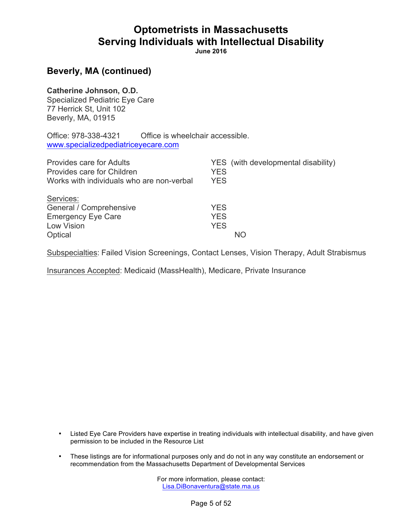**June 2016**

### **Beverly, MA (continued)**

#### **Catherine Johnson, O.D.**

Specialized Pediatric Eye Care 77 Herrick St, Unit 102 Beverly, MA, 01915

Office: 978-338-4321 Office is wheelchair accessible. www.specializedpediatriceyecare.com

| <b>Provides care for Adults</b>                                                                   | YES (with developmental disability)           |
|---------------------------------------------------------------------------------------------------|-----------------------------------------------|
| Provides care for Children                                                                        | <b>YES</b>                                    |
| Works with individuals who are non-verbal                                                         | <b>YES</b>                                    |
| Services:<br>General / Comprehensive<br><b>Emergency Eye Care</b><br><b>Low Vision</b><br>Optical | <b>YES</b><br><b>YES</b><br><b>YES</b><br>NO. |

Subspecialties: Failed Vision Screenings, Contact Lenses, Vision Therapy, Adult Strabismus

Insurances Accepted: Medicaid (MassHealth), Medicare, Private Insurance

- Listed Eye Care Providers have expertise in treating individuals with intellectual disability, and have given permission to be included in the Resource List
- These listings are for informational purposes only and do not in any way constitute an endorsement or recommendation from the Massachusetts Department of Developmental Services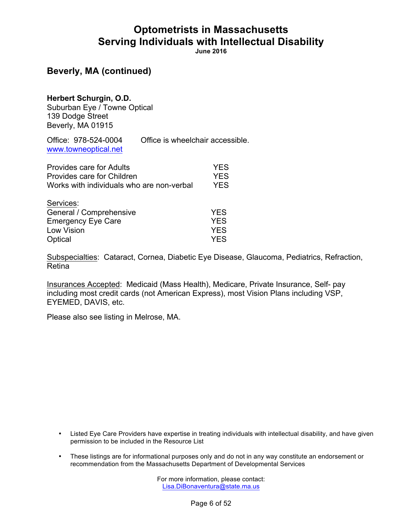**June 2016**

### **Beverly, MA (continued)**

#### **Herbert Schurgin, O.D.**

Suburban Eye / Towne Optical 139 Dodge Street Beverly, MA 01915

Office: 978-524-0004 Office is wheelchair accessible. www.towneoptical.net

| <b>Provides care for Adults</b>           | <b>YES</b> |
|-------------------------------------------|------------|
| Provides care for Children                | <b>YES</b> |
| Works with individuals who are non-verbal | <b>YES</b> |
| Services:                                 |            |
| General / Comprehensive                   | <b>YES</b> |
| <b>Emergency Eye Care</b>                 | <b>YES</b> |
| Low Vision                                | <b>YES</b> |
| Optical                                   | <b>YES</b> |

Subspecialties: Cataract, Cornea, Diabetic Eye Disease, Glaucoma, Pediatrics, Refraction, Retina

Insurances Accepted: Medicaid (Mass Health), Medicare, Private Insurance, Self- pay including most credit cards (not American Express), most Vision Plans including VSP, EYEMED, DAVIS, etc.

Please also see listing in Melrose, MA.

- Listed Eye Care Providers have expertise in treating individuals with intellectual disability, and have given permission to be included in the Resource List
- These listings are for informational purposes only and do not in any way constitute an endorsement or recommendation from the Massachusetts Department of Developmental Services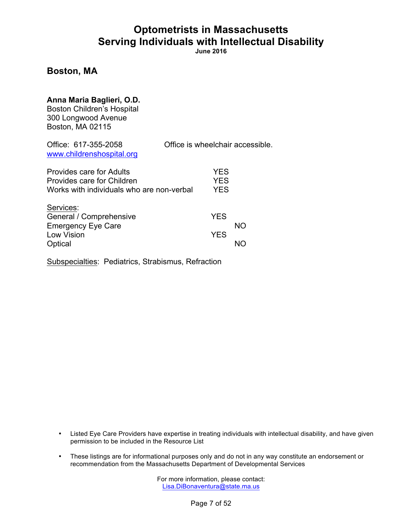**June 2016**

### **Boston, MA**

### **Anna Maria Baglieri, O.D.**

Boston Children's Hospital 300 Longwood Avenue Boston, MA 02115

| Office: 617-355-2058<br>www.childrenshospital.org                                                   | Office is wheelchair accessible.       |
|-----------------------------------------------------------------------------------------------------|----------------------------------------|
| Provides care for Adults<br>Provides care for Children<br>Works with individuals who are non-verbal | <b>YES</b><br><b>YES</b><br><b>YES</b> |
| Services:<br>General / Comprehensive<br><b>Emergency Eye Care</b><br>Low Vision<br>Optical          | <b>YES</b><br>NO.<br><b>YES</b><br>NC  |

Subspecialties: Pediatrics, Strabismus, Refraction

- Listed Eye Care Providers have expertise in treating individuals with intellectual disability, and have given permission to be included in the Resource List
- These listings are for informational purposes only and do not in any way constitute an endorsement or recommendation from the Massachusetts Department of Developmental Services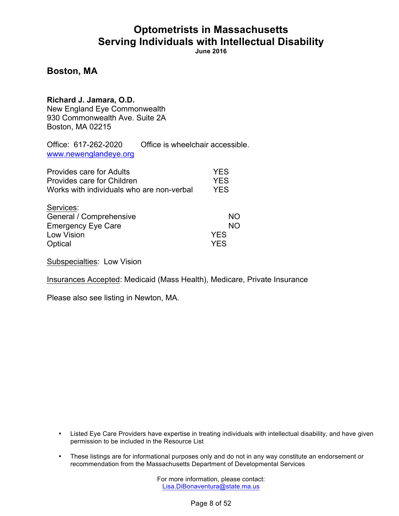**June 2016**

### **Boston, MA**

**Richard J. Jamara, O.D.** New England Eye Commonwealth 930 Commonwealth Ave. Suite 2A Boston, MA 02215

Office: 617-262-2020 Office is wheelchair accessible. www.newenglandeye.org

| Provides care for Adults                  | <b>YES</b> |
|-------------------------------------------|------------|
| Provides care for Children                | <b>YES</b> |
| Works with individuals who are non-verbal | <b>YES</b> |
| Services:                                 |            |
| General / Comprehensive                   | NΟ         |
| <b>Emergency Eye Care</b>                 | NΟ         |
| Low Vision                                | <b>YES</b> |
| Optical                                   | YES        |

Subspecialties: Low Vision

Insurances Accepted: Medicaid (Mass Health), Medicare, Private Insurance

Please also see listing in Newton, MA.

- Listed Eye Care Providers have expertise in treating individuals with intellectual disability, and have given permission to be included in the Resource List
- These listings are for informational purposes only and do not in any way constitute an endorsement or recommendation from the Massachusetts Department of Developmental Services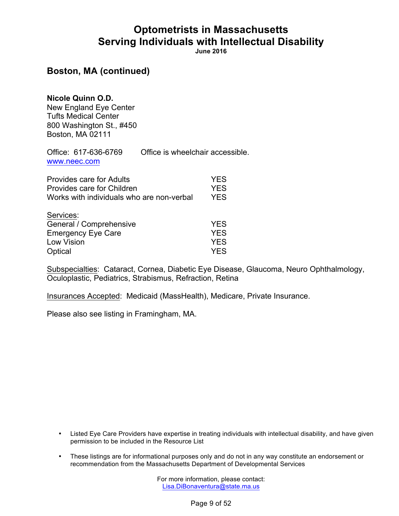**June 2016**

### **Boston, MA (continued)**

**Nicole Quinn O.D.**

New England Eye Center Tufts Medical Center 800 Washington St., #450 Boston, MA 02111

Office: 617-636-6769 Office is wheelchair accessible. www.neec.com

| Provides care for Adults<br>Provides care for Children<br>Works with individuals who are non-verbal | <b>YES</b><br><b>YES</b><br><b>YES</b> |
|-----------------------------------------------------------------------------------------------------|----------------------------------------|
| Services:                                                                                           |                                        |
| General / Comprehensive                                                                             | <b>YES</b>                             |
| <b>Emergency Eye Care</b>                                                                           | <b>YES</b>                             |
| Low Vision                                                                                          | <b>YES</b>                             |
| Optical                                                                                             | <b>YES</b>                             |

Subspecialties: Cataract, Cornea, Diabetic Eye Disease, Glaucoma, Neuro Ophthalmology, Oculoplastic, Pediatrics, Strabismus, Refraction, Retina

Insurances Accepted: Medicaid (MassHealth), Medicare, Private Insurance.

Please also see listing in Framingham, MA.

- Listed Eye Care Providers have expertise in treating individuals with intellectual disability, and have given permission to be included in the Resource List
- These listings are for informational purposes only and do not in any way constitute an endorsement or recommendation from the Massachusetts Department of Developmental Services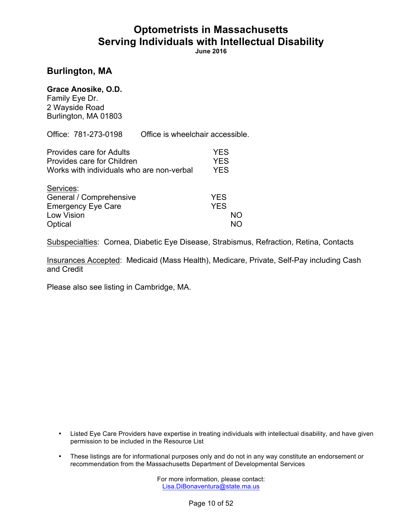**June 2016**

### **Burlington, MA**

#### **Grace Anosike, O.D.**

Family Eye Dr. 2 Wayside Road Burlington, MA 01803

Office: 781-273-0198 Office is wheelchair accessible.

| Provides care for Adults                  | <b>YES</b> |
|-------------------------------------------|------------|
| Provides care for Children                | <b>YES</b> |
| Works with individuals who are non-verbal | <b>YES</b> |
| Services:                                 |            |
| General / Comprehensive                   | <b>YES</b> |
| <b>Emergency Eye Care</b>                 | <b>YES</b> |
| Low Vision                                | NΟ         |
| Optical                                   |            |

Subspecialties: Cornea, Diabetic Eye Disease, Strabismus, Refraction, Retina, Contacts

Insurances Accepted: Medicaid (Mass Health), Medicare, Private, Self-Pay including Cash and Credit

Please also see listing in Cambridge, MA.

- Listed Eye Care Providers have expertise in treating individuals with intellectual disability, and have given permission to be included in the Resource List
- These listings are for informational purposes only and do not in any way constitute an endorsement or recommendation from the Massachusetts Department of Developmental Services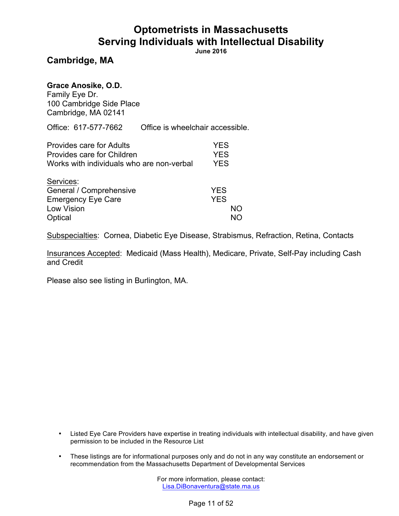**June 2016**

### **Cambridge, MA**

#### **Grace Anosike, O.D.**

Family Eye Dr. 100 Cambridge Side Place Cambridge, MA 02141

Office: 617-577-7662 Office is wheelchair accessible.

| <b>Provides care for Adults</b><br>Provides care for Children | YFS.<br>YFS. |
|---------------------------------------------------------------|--------------|
| Works with individuals who are non-verbal                     | YFS.         |
| $O = 1.1222$                                                  |              |

| SEIVICES.                 |            |
|---------------------------|------------|
| General / Comprehensive   | <b>YES</b> |
| <b>Emergency Eye Care</b> | <b>YES</b> |
| Low Vision                | NO.        |
| Optical                   | NO.        |

Subspecialties: Cornea, Diabetic Eye Disease, Strabismus, Refraction, Retina, Contacts

Insurances Accepted: Medicaid (Mass Health), Medicare, Private, Self-Pay including Cash and Credit

Please also see listing in Burlington, MA.

- Listed Eye Care Providers have expertise in treating individuals with intellectual disability, and have given permission to be included in the Resource List
- These listings are for informational purposes only and do not in any way constitute an endorsement or recommendation from the Massachusetts Department of Developmental Services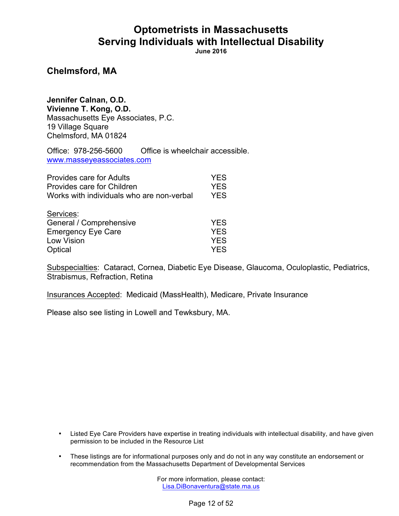**June 2016**

### **Chelmsford, MA**

**Jennifer Calnan, O.D. Vivienne T. Kong, O.D.** Massachusetts Eye Associates, P.C. 19 Village Square Chelmsford, MA 01824

Office: 978-256-5600 Office is wheelchair accessible. www.masseyeassociates.com

| <b>Provides care for Adults</b>           | <b>YES</b> |
|-------------------------------------------|------------|
| Provides care for Children                | <b>YES</b> |
| Works with individuals who are non-verbal | <b>YES</b> |
| Services:                                 |            |
| General / Comprehensive                   | <b>YES</b> |
| <b>Emergency Eye Care</b>                 | <b>YES</b> |
| Low Vision                                | <b>YES</b> |
| Optical                                   | <b>YES</b> |

Subspecialties: Cataract, Cornea, Diabetic Eye Disease, Glaucoma, Oculoplastic, Pediatrics, Strabismus, Refraction, Retina

Insurances Accepted: Medicaid (MassHealth), Medicare, Private Insurance

Please also see listing in Lowell and Tewksbury, MA.

- Listed Eye Care Providers have expertise in treating individuals with intellectual disability, and have given permission to be included in the Resource List
- These listings are for informational purposes only and do not in any way constitute an endorsement or recommendation from the Massachusetts Department of Developmental Services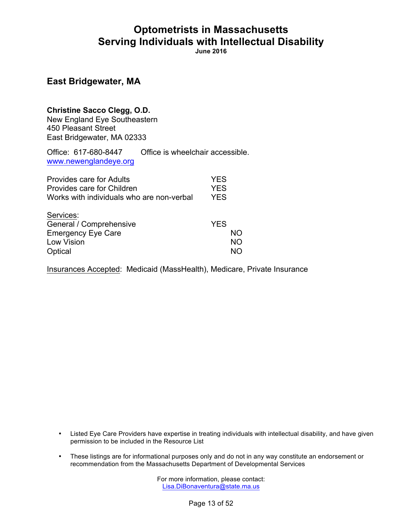**June 2016**

### **East Bridgewater, MA**

#### **Christine Sacco Clegg, O.D.**

New England Eye Southeastern 450 Pleasant Street East Bridgewater, MA 02333

Office: 617-680-8447 Office is wheelchair accessible. www.newenglandeye.org

| Provides care for Adults                  | YES        |
|-------------------------------------------|------------|
| Provides care for Children                | <b>YES</b> |
| Works with individuals who are non-verbal | <b>YES</b> |
| Services:                                 |            |
| General / Comprehensive                   | <b>YES</b> |
| <b>Emergency Eye Care</b>                 | NΟ         |
| Low Vision                                | NO.        |
| Optical                                   | חמ         |

Insurances Accepted: Medicaid (MassHealth), Medicare, Private Insurance

- Listed Eye Care Providers have expertise in treating individuals with intellectual disability, and have given permission to be included in the Resource List
- These listings are for informational purposes only and do not in any way constitute an endorsement or recommendation from the Massachusetts Department of Developmental Services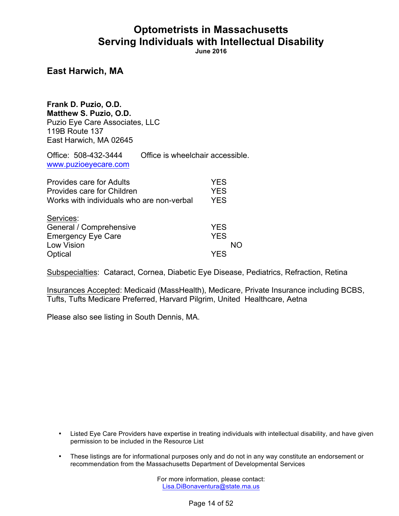**June 2016**

### **East Harwich, MA**

**Frank D. Puzio, O.D. Matthew S. Puzio, O.D.** Puzio Eye Care Associates, LLC 119B Route 137 East Harwich, MA 02645

Office: 508-432-3444 Office is wheelchair accessible. www.puzioeyecare.com

| Provides care for Adults<br>Provides care for Children<br>Works with individuals who are non-verbal | <b>YES</b><br><b>YES</b><br><b>YES</b> |
|-----------------------------------------------------------------------------------------------------|----------------------------------------|
| Services:                                                                                           |                                        |
| General / Comprehensive                                                                             | <b>YES</b>                             |
| <b>Emergency Eye Care</b>                                                                           | <b>YES</b>                             |
| Low Vision                                                                                          | NΩ                                     |
| Optical                                                                                             | YF.S                                   |

Subspecialties: Cataract, Cornea, Diabetic Eye Disease, Pediatrics, Refraction, Retina

Insurances Accepted: Medicaid (MassHealth), Medicare, Private Insurance including BCBS, Tufts, Tufts Medicare Preferred, Harvard Pilgrim, United Healthcare, Aetna

Please also see listing in South Dennis, MA.

- Listed Eye Care Providers have expertise in treating individuals with intellectual disability, and have given permission to be included in the Resource List
- These listings are for informational purposes only and do not in any way constitute an endorsement or recommendation from the Massachusetts Department of Developmental Services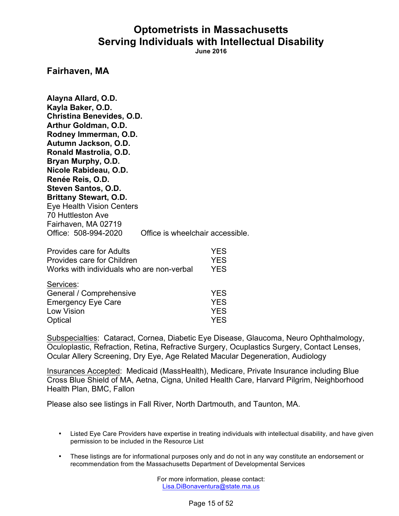**June 2016**

#### **Fairhaven, MA**

**Alayna Allard, O.D. Kayla Baker, O.D. Christina Benevides, O.D. Arthur Goldman, O.D. Rodney Immerman, O.D. Autumn Jackson, O.D. Ronald Mastrolia, O.D. Bryan Murphy, O.D. Nicole Rabideau, O.D. Renée Reis, O.D. Steven Santos, O.D. Brittany Stewart, O.D.** Eye Health Vision Centers 70 Huttleston Ave Fairhaven, MA 02719 Office: 508-994-2020 Office is wheelchair accessible. Provides care for Adults YES

| Provides care for Adults                  | YES        |
|-------------------------------------------|------------|
| Provides care for Children                | <b>YES</b> |
| Works with individuals who are non-verbal | <b>YES</b> |
| Services:                                 |            |
| General / Comprehensive                   | <b>YES</b> |
| <b>Emergency Eye Care</b>                 | <b>YES</b> |
| Low Vision                                | <b>YES</b> |
| Optical                                   | <b>YES</b> |

Subspecialties: Cataract, Cornea, Diabetic Eye Disease, Glaucoma, Neuro Ophthalmology, Oculoplastic, Refraction, Retina, Refractive Surgery, Ocuplastics Surgery, Contact Lenses, Ocular Allery Screening, Dry Eye, Age Related Macular Degeneration, Audiology

Insurances Accepted: Medicaid (MassHealth), Medicare, Private Insurance including Blue Cross Blue Shield of MA, Aetna, Cigna, United Health Care, Harvard Pilgrim, Neighborhood Health Plan, BMC, Fallon

Please also see listings in Fall River, North Dartmouth, and Taunton, MA.

- Listed Eye Care Providers have expertise in treating individuals with intellectual disability, and have given permission to be included in the Resource List
- These listings are for informational purposes only and do not in any way constitute an endorsement or recommendation from the Massachusetts Department of Developmental Services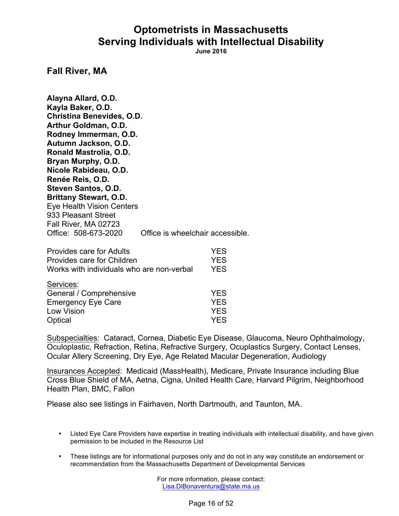**June 2016**

**Fall River, MA**

**Alayna Allard, O.D. Kayla Baker, O.D. Christina Benevides, O.D. Arthur Goldman, O.D. Rodney Immerman, O.D. Autumn Jackson, O.D. Ronald Mastrolia, O.D. Bryan Murphy, O.D. Nicole Rabideau, O.D. Renée Reis, O.D. Steven Santos, O.D. Brittany Stewart, O.D.** Eye Health Vision Centers 933 Pleasant Street Fall River, MA 02723 Office: 508-673-2020 Office is wheelchair accessible. Provides care for Adults YES

| Provides care for Adults                  | YES        |
|-------------------------------------------|------------|
| Provides care for Children                | <b>YES</b> |
| Works with individuals who are non-verbal | <b>YES</b> |
| Services:                                 |            |
| General / Comprehensive                   | <b>YES</b> |
| <b>Emergency Eye Care</b>                 | <b>YES</b> |
| Low Vision                                | <b>YES</b> |
| Optical                                   | <b>YES</b> |

Subspecialties: Cataract, Cornea, Diabetic Eye Disease, Glaucoma, Neuro Ophthalmology, Oculoplastic, Refraction, Retina, Refractive Surgery, Ocuplastics Surgery, Contact Lenses, Ocular Allery Screening, Dry Eye, Age Related Macular Degeneration, Audiology

Insurances Accepted: Medicaid (MassHealth), Medicare, Private Insurance including Blue Cross Blue Shield of MA, Aetna, Cigna, United Health Care, Harvard Pilgrim, Neighborhood Health Plan, BMC, Fallon

Please also see listings in Fairhaven, North Dartmouth, and Taunton, MA.

- Listed Eye Care Providers have expertise in treating individuals with intellectual disability, and have given permission to be included in the Resource List
- These listings are for informational purposes only and do not in any way constitute an endorsement or recommendation from the Massachusetts Department of Developmental Services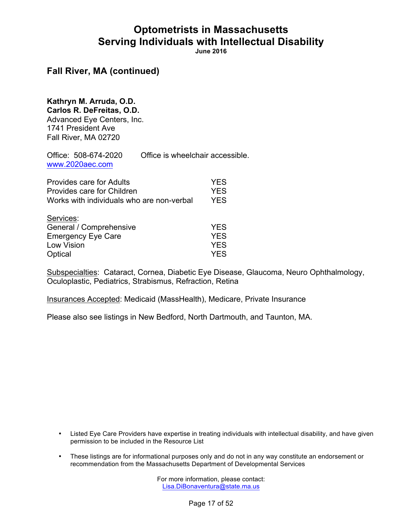**June 2016**

### **Fall River, MA (continued)**

### **Kathryn M. Arruda, O.D.**

**Carlos R. DeFreitas, O.D.** Advanced Eye Centers, Inc. 1741 President Ave Fall River, MA 02720

Office: 508-674-2020 Office is wheelchair accessible. www.2020aec.com

| Provides care for Adults<br>Provides care for Children<br>Works with individuals who are non-verbal |            |
|-----------------------------------------------------------------------------------------------------|------------|
| Services:                                                                                           |            |
| General / Comprehensive                                                                             | <b>YES</b> |
| <b>Emergency Eye Care</b>                                                                           | <b>YES</b> |
| Low Vision                                                                                          | <b>YES</b> |
| Optical                                                                                             | <b>YES</b> |

Subspecialties: Cataract, Cornea, Diabetic Eye Disease, Glaucoma, Neuro Ophthalmology, Oculoplastic, Pediatrics, Strabismus, Refraction, Retina

Insurances Accepted: Medicaid (MassHealth), Medicare, Private Insurance

Please also see listings in New Bedford, North Dartmouth, and Taunton, MA.

- Listed Eye Care Providers have expertise in treating individuals with intellectual disability, and have given permission to be included in the Resource List
- These listings are for informational purposes only and do not in any way constitute an endorsement or recommendation from the Massachusetts Department of Developmental Services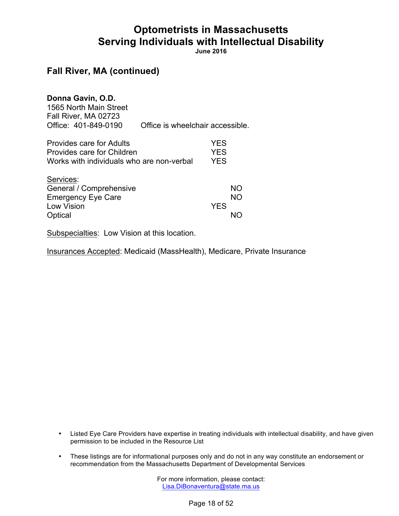**June 2016**

### **Fall River, MA (continued)**

| Donna Gavin, O.D.<br>1565 North Main Street<br>Fall River, MA 02723                                 |                                  |                                        |                 |
|-----------------------------------------------------------------------------------------------------|----------------------------------|----------------------------------------|-----------------|
| Office: 401-849-0190                                                                                | Office is wheelchair accessible. |                                        |                 |
| Provides care for Adults<br>Provides care for Children<br>Works with individuals who are non-verbal |                                  | <b>YES</b><br><b>YES</b><br><b>YES</b> |                 |
| Services:<br>General / Comprehensive<br><b>Emergency Eye Care</b><br>Low Vision                     |                                  | <b>YFS</b>                             | <b>NO</b><br>NΟ |
| Optical                                                                                             |                                  |                                        |                 |

Subspecialties: Low Vision at this location.

Insurances Accepted: Medicaid (MassHealth), Medicare, Private Insurance

- Listed Eye Care Providers have expertise in treating individuals with intellectual disability, and have given permission to be included in the Resource List
- These listings are for informational purposes only and do not in any way constitute an endorsement or recommendation from the Massachusetts Department of Developmental Services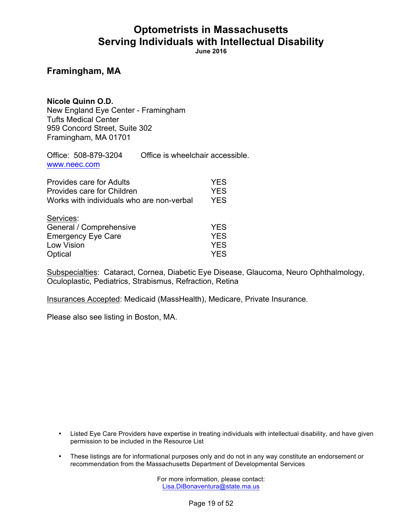**June 2016**

### **Framingham, MA**

**Nicole Quinn O.D.** New England Eye Center - Framingham Tufts Medical Center 959 Concord Street, Suite 302 Framingham, MA 01701

Office: 508-879-3204 Office is wheelchair accessible. www.neec.com

| <b>Provides care for Adults</b>           | <b>YES</b> |
|-------------------------------------------|------------|
| Provides care for Children                | <b>YES</b> |
| Works with individuals who are non-verbal | <b>YES</b> |
| Services:                                 |            |
| General / Comprehensive                   | <b>YES</b> |
| <b>Emergency Eye Care</b>                 | <b>YES</b> |
| Low Vision                                | <b>YES</b> |
| Optical                                   | <b>YES</b> |

Subspecialties: Cataract, Cornea, Diabetic Eye Disease, Glaucoma, Neuro Ophthalmology, Oculoplastic, Pediatrics, Strabismus, Refraction, Retina

Insurances Accepted: Medicaid (MassHealth), Medicare, Private Insurance.

Please also see listing in Boston, MA.

- Listed Eye Care Providers have expertise in treating individuals with intellectual disability, and have given permission to be included in the Resource List
- These listings are for informational purposes only and do not in any way constitute an endorsement or recommendation from the Massachusetts Department of Developmental Services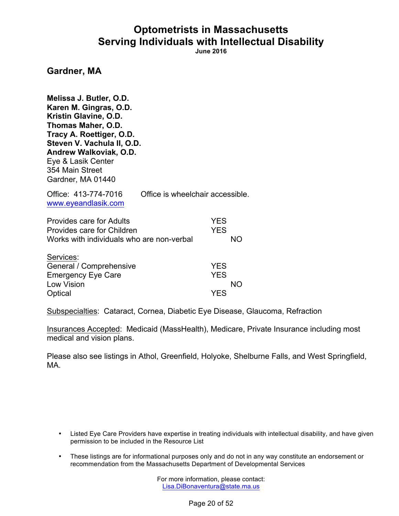**June 2016**

#### **Gardner, MA**

**Melissa J. Butler, O.D. Karen M. Gingras, O.D. Kristin Glavine, O.D. Thomas Maher, O.D. Tracy A. Roettiger, O.D. Steven V. Vachula II, O.D. Andrew Walkoviak, O.D.** Eye & Lasik Center 354 Main Street Gardner, MA 01440

| Office: 413-774-7016<br>www.eyeandlasik.com | Office is wheelchair accessible. |
|---------------------------------------------|----------------------------------|
| <b>Provides care for Adults</b>             | <b>YFS</b>                       |
| Provides care for Children                  | YFS.                             |

| Services:                 |            |
|---------------------------|------------|
| General / Comprehensive   | <b>YES</b> |
| <b>Emergency Eye Care</b> | <b>YFS</b> |
| Low Vision                | NO.        |
| Optical                   | <b>YES</b> |

Works with individuals who are non-verbal NO

Subspecialties: Cataract, Cornea, Diabetic Eye Disease, Glaucoma, Refraction

Insurances Accepted: Medicaid (MassHealth), Medicare, Private Insurance including most medical and vision plans.

Please also see listings in Athol, Greenfield, Holyoke, Shelburne Falls, and West Springfield, MA.

- Listed Eye Care Providers have expertise in treating individuals with intellectual disability, and have given permission to be included in the Resource List
- These listings are for informational purposes only and do not in any way constitute an endorsement or recommendation from the Massachusetts Department of Developmental Services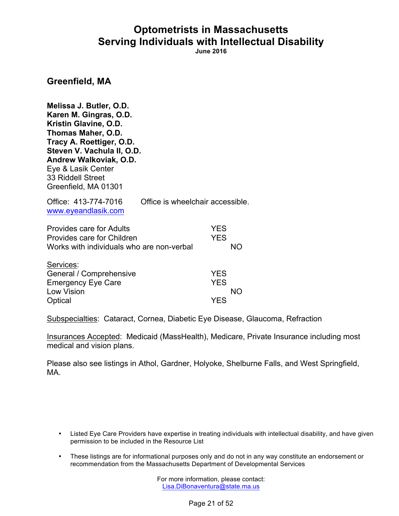**June 2016**

#### **Greenfield, MA**

**Melissa J. Butler, O.D. Karen M. Gingras, O.D. Kristin Glavine, O.D. Thomas Maher, O.D. Tracy A. Roettiger, O.D. Steven V. Vachula II, O.D. Andrew Walkoviak, O.D.** Eye & Lasik Center 33 Riddell Street Greenfield, MA 01301

| Office: 413-774-7016 | Office is wheelchair accessible. |
|----------------------|----------------------------------|
| www.eyeandlasik.com  |                                  |

| <b>Provides care for Adults</b>           | YES. |     |
|-------------------------------------------|------|-----|
| Provides care for Children                | YES. |     |
| Works with individuals who are non-verbal |      | NO. |

| Services:                 |            |
|---------------------------|------------|
| General / Comprehensive   | <b>YES</b> |
| <b>Emergency Eye Care</b> | <b>YES</b> |
| Low Vision                | <b>NO</b>  |
| Optical                   | <b>YES</b> |

Subspecialties: Cataract, Cornea, Diabetic Eye Disease, Glaucoma, Refraction

Insurances Accepted: Medicaid (MassHealth), Medicare, Private Insurance including most medical and vision plans.

Please also see listings in Athol, Gardner, Holyoke, Shelburne Falls, and West Springfield, MA.

- Listed Eye Care Providers have expertise in treating individuals with intellectual disability, and have given permission to be included in the Resource List
- These listings are for informational purposes only and do not in any way constitute an endorsement or recommendation from the Massachusetts Department of Developmental Services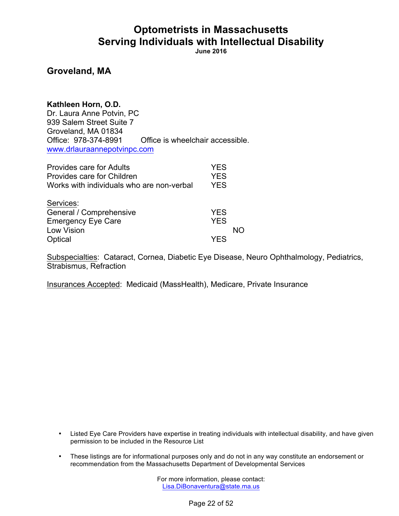**June 2016**

### **Groveland, MA**

**Kathleen Horn, O.D.** Dr. Laura Anne Potvin, PC 939 Salem Street Suite 7 Groveland, MA 01834 Office: 978-374-8991 Office is wheelchair accessible. www.drlauraannepotvinpc.com

| <b>Provides care for Adults</b>           | <b>YES</b> |    |
|-------------------------------------------|------------|----|
| Provides care for Children                | <b>YES</b> |    |
| Works with individuals who are non-verbal | <b>YES</b> |    |
| Services:                                 |            |    |
| General / Comprehensive                   | <b>YES</b> |    |
| <b>Emergency Eye Care</b>                 | <b>YES</b> |    |
| <b>Low Vision</b>                         |            | NΩ |
| Optical                                   | YFS        |    |

Subspecialties: Cataract, Cornea, Diabetic Eye Disease, Neuro Ophthalmology, Pediatrics, Strabismus, Refraction

Insurances Accepted: Medicaid (MassHealth), Medicare, Private Insurance

- Listed Eye Care Providers have expertise in treating individuals with intellectual disability, and have given permission to be included in the Resource List
- These listings are for informational purposes only and do not in any way constitute an endorsement or recommendation from the Massachusetts Department of Developmental Services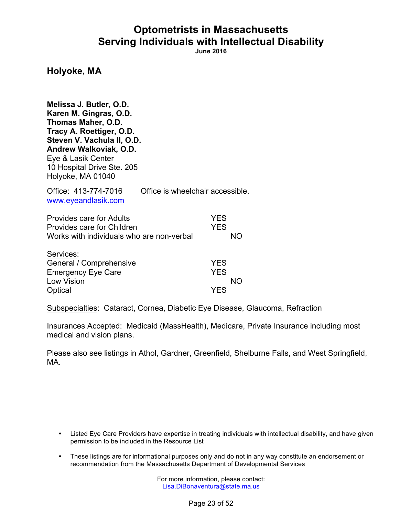**June 2016**

#### **Holyoke, MA**

**Melissa J. Butler, O.D. Karen M. Gingras, O.D. Thomas Maher, O.D. Tracy A. Roettiger, O.D. Steven V. Vachula II, O.D. Andrew Walkoviak, O.D.** Eye & Lasik Center 10 Hospital Drive Ste. 205 Holyoke, MA 01040

Office: 413-774-7016 Office is wheelchair accessible. www.eyeandlasik.com

| <b>Provides care for Adults</b>           | <b>YES</b> |
|-------------------------------------------|------------|
| Provides care for Children                | <b>YES</b> |
| Works with individuals who are non-verbal | NΟ         |
| Services:                                 |            |
| General / Comprehensive                   | <b>YES</b> |
| <b>Emergency Eye Care</b>                 | <b>YES</b> |
| Low Vision                                | NΟ         |
| Optical                                   | YES        |

Subspecialties: Cataract, Cornea, Diabetic Eye Disease, Glaucoma, Refraction

Insurances Accepted: Medicaid (MassHealth), Medicare, Private Insurance including most medical and vision plans.

Please also see listings in Athol, Gardner, Greenfield, Shelburne Falls, and West Springfield, MA.

- Listed Eye Care Providers have expertise in treating individuals with intellectual disability, and have given permission to be included in the Resource List
- These listings are for informational purposes only and do not in any way constitute an endorsement or recommendation from the Massachusetts Department of Developmental Services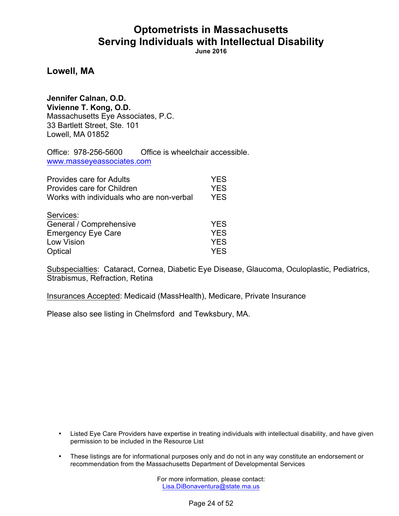**June 2016**

**Lowell, MA**

**Jennifer Calnan, O.D. Vivienne T. Kong, O.D.** Massachusetts Eye Associates, P.C. 33 Bartlett Street, Ste. 101 Lowell, MA 01852

Office: 978-256-5600 Office is wheelchair accessible. www.masseyeassociates.com

| Provides care for Adults<br>Provides care for Children<br>Works with individuals who are non-verbal | <b>YES</b><br><b>YES</b><br><b>YES</b> |
|-----------------------------------------------------------------------------------------------------|----------------------------------------|
| Services:<br>General / Comprehensive                                                                | <b>YES</b>                             |
| <b>Emergency Eye Care</b>                                                                           | <b>YES</b>                             |
| Low Vision                                                                                          | <b>YES</b>                             |
| Optical                                                                                             | <b>YES</b>                             |

Subspecialties: Cataract, Cornea, Diabetic Eye Disease, Glaucoma, Oculoplastic, Pediatrics, Strabismus, Refraction, Retina

Insurances Accepted: Medicaid (MassHealth), Medicare, Private Insurance

Please also see listing in Chelmsford and Tewksbury, MA.

- Listed Eye Care Providers have expertise in treating individuals with intellectual disability, and have given permission to be included in the Resource List
- These listings are for informational purposes only and do not in any way constitute an endorsement or recommendation from the Massachusetts Department of Developmental Services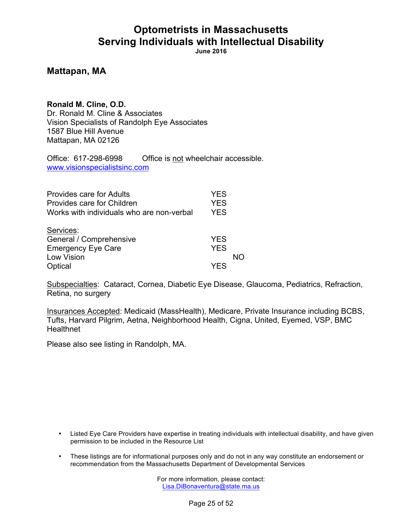**June 2016**

### **Mattapan, MA**

**Ronald M. Cline, O.D.** Dr. Ronald M. Cline & Associates Vision Specialists of Randolph Eye Associates 1587 Blue Hill Avenue Mattapan, MA 02126

Office: 617-298-6998 Office is not wheelchair accessible. www.visionspecialistsinc.com

| Provides care for Adults                  | YES        |    |
|-------------------------------------------|------------|----|
| Provides care for Children                | <b>YES</b> |    |
| Works with individuals who are non-verbal | <b>YES</b> |    |
| Services:                                 |            |    |
| General / Comprehensive                   | <b>YES</b> |    |
| <b>Emergency Eye Care</b>                 | <b>YES</b> |    |
| Low Vision                                |            | NΩ |
| Optical                                   | YFS        |    |

Subspecialties: Cataract, Cornea, Diabetic Eye Disease, Glaucoma, Pediatrics, Refraction, Retina, no surgery

Insurances Accepted: Medicaid (MassHealth), Medicare, Private Insurance including BCBS, Tufts, Harvard Pilgrim, Aetna, Neighborhood Health, Cigna, United, Eyemed, VSP, BMC **Healthnet** 

Please also see listing in Randolph, MA.

- Listed Eye Care Providers have expertise in treating individuals with intellectual disability, and have given permission to be included in the Resource List
- These listings are for informational purposes only and do not in any way constitute an endorsement or recommendation from the Massachusetts Department of Developmental Services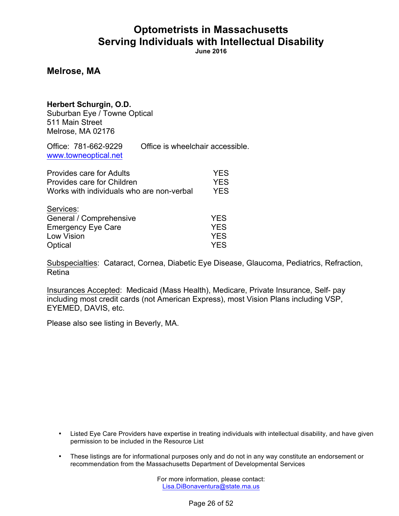**June 2016**

#### **Melrose, MA**

#### **Herbert Schurgin, O.D.**

Suburban Eye / Towne Optical 511 Main Street Melrose, MA 02176

Office: 781-662-9229 Office is wheelchair accessible. www.towneoptical.net

| <b>Provides care for Adults</b>           | <b>YES</b> |
|-------------------------------------------|------------|
| Provides care for Children                | <b>YES</b> |
| Works with individuals who are non-verbal | <b>YES</b> |
| Services:                                 |            |
| General / Comprehensive                   | <b>YES</b> |
| <b>Emergency Eye Care</b>                 | <b>YES</b> |
| Low Vision                                | <b>YES</b> |
| Optical                                   | <b>YES</b> |

Subspecialties: Cataract, Cornea, Diabetic Eye Disease, Glaucoma, Pediatrics, Refraction, Retina

Insurances Accepted: Medicaid (Mass Health), Medicare, Private Insurance, Self- pay including most credit cards (not American Express), most Vision Plans including VSP, EYEMED, DAVIS, etc.

Please also see listing in Beverly, MA.

- Listed Eye Care Providers have expertise in treating individuals with intellectual disability, and have given permission to be included in the Resource List
- These listings are for informational purposes only and do not in any way constitute an endorsement or recommendation from the Massachusetts Department of Developmental Services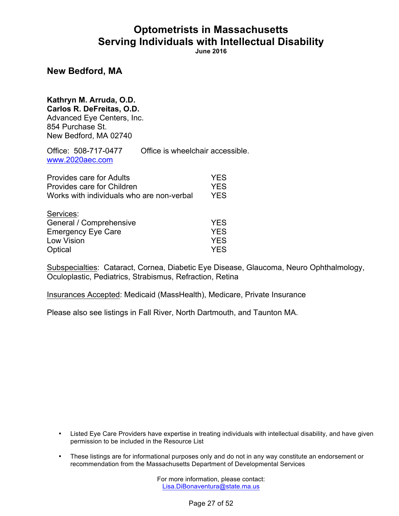**June 2016**

#### **New Bedford, MA**

# **Kathryn M. Arruda, O.D.**

**Carlos R. DeFreitas, O.D.**

Advanced Eye Centers, Inc. 854 Purchase St. New Bedford, MA 02740

Office: 508-717-0477 Office is wheelchair accessible. www.2020aec.com

| <b>Provides care for Adults</b>           | <b>YES</b> |
|-------------------------------------------|------------|
| Provides care for Children                | <b>YES</b> |
| Works with individuals who are non-verbal | <b>YES</b> |
| Services:                                 |            |
| General / Comprehensive                   | <b>YES</b> |
| <b>Emergency Eye Care</b>                 | <b>YES</b> |
| Low Vision                                | <b>YES</b> |
| Optical                                   | <b>YES</b> |

Subspecialties: Cataract, Cornea, Diabetic Eye Disease, Glaucoma, Neuro Ophthalmology, Oculoplastic, Pediatrics, Strabismus, Refraction, Retina

Insurances Accepted: Medicaid (MassHealth), Medicare, Private Insurance

Please also see listings in Fall River, North Dartmouth, and Taunton MA.

- Listed Eye Care Providers have expertise in treating individuals with intellectual disability, and have given permission to be included in the Resource List
- These listings are for informational purposes only and do not in any way constitute an endorsement or recommendation from the Massachusetts Department of Developmental Services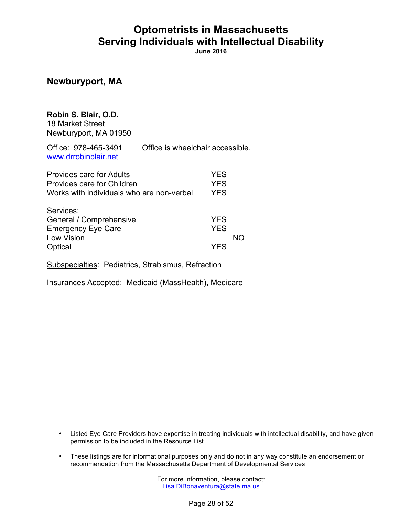**June 2016**

#### **Newburyport, MA**

### **Robin S. Blair, O.D.**

18 Market Street Newburyport, MA 01950

Office: 978-465-3491 Office is wheelchair accessible. www.drrobinblair.net

| Provides care for Adults<br>Provides care for Children<br>Works with individuals who are non-verbal | <b>YES</b><br><b>YES</b><br><b>YES</b> |    |
|-----------------------------------------------------------------------------------------------------|----------------------------------------|----|
| Services:<br>General / Comprehensive<br><b>Emergency Eye Care</b>                                   | <b>YES</b><br><b>YES</b>               | NΩ |
| Low Vision<br>Optical                                                                               | YFS                                    |    |

Subspecialties: Pediatrics, Strabismus, Refraction

Insurances Accepted: Medicaid (MassHealth), Medicare

- Listed Eye Care Providers have expertise in treating individuals with intellectual disability, and have given permission to be included in the Resource List
- These listings are for informational purposes only and do not in any way constitute an endorsement or recommendation from the Massachusetts Department of Developmental Services

For more information, please contact: Lisa.DiBonaventura@state.ma.us

Page 28 of 52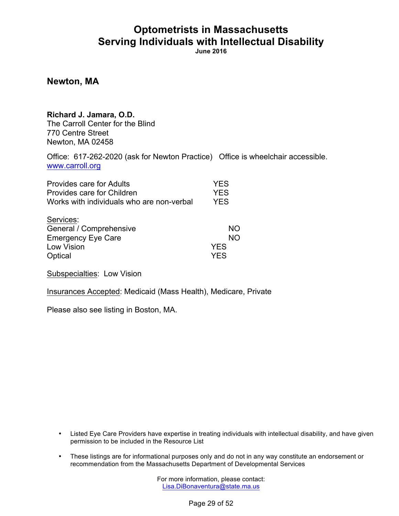**June 2016**

**Newton, MA**

#### **Richard J. Jamara, O.D.**

The Carroll Center for the Blind 770 Centre Street Newton, MA 02458

Office: 617-262-2020 (ask for Newton Practice) Office is wheelchair accessible. www.carroll.org

| Provides care for Adults                                                                          | <b>YES</b>                           |
|---------------------------------------------------------------------------------------------------|--------------------------------------|
| Provides care for Children                                                                        | <b>YES</b>                           |
| Works with individuals who are non-verbal                                                         | <b>YES</b>                           |
| Services:<br>General / Comprehensive<br><b>Emergency Eye Care</b><br><b>Low Vision</b><br>Optical | NΟ<br>NΟ<br><b>YES</b><br><b>YES</b> |

Subspecialties: Low Vision

Insurances Accepted: Medicaid (Mass Health), Medicare, Private

Please also see listing in Boston, MA.

- Listed Eye Care Providers have expertise in treating individuals with intellectual disability, and have given permission to be included in the Resource List
- These listings are for informational purposes only and do not in any way constitute an endorsement or recommendation from the Massachusetts Department of Developmental Services

For more information, please contact: Lisa.DiBonaventura@state.ma.us

Page 29 of 52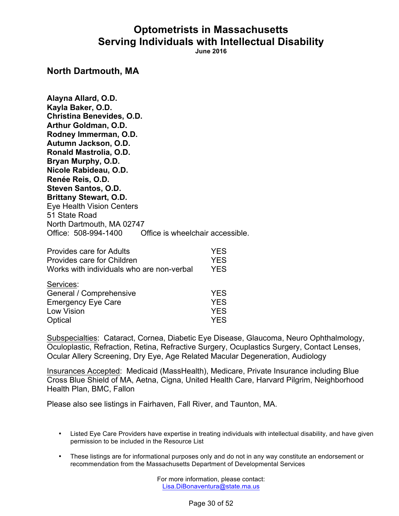**June 2016**

#### **North Dartmouth, MA**

**Alayna Allard, O.D. Kayla Baker, O.D. Christina Benevides, O.D. Arthur Goldman, O.D. Rodney Immerman, O.D. Autumn Jackson, O.D. Ronald Mastrolia, O.D. Bryan Murphy, O.D. Nicole Rabideau, O.D. Renée Reis, O.D. Steven Santos, O.D. Brittany Stewart, O.D.** Eye Health Vision Centers 51 State Road North Dartmouth, MA 02747 Office: 508-994-1400 Office is wheelchair accessible.

| <b>Provides care for Adults</b>           | <b>YES</b> |
|-------------------------------------------|------------|
| Provides care for Children                | <b>YES</b> |
| Works with individuals who are non-verbal | <b>YES</b> |
| Services:                                 |            |
| General / Comprehensive                   | <b>YES</b> |
| <b>Emergency Eye Care</b>                 | <b>YES</b> |
| Low Vision                                | <b>YES</b> |
| Optical                                   | <b>YES</b> |

Subspecialties: Cataract, Cornea, Diabetic Eye Disease, Glaucoma, Neuro Ophthalmology, Oculoplastic, Refraction, Retina, Refractive Surgery, Ocuplastics Surgery, Contact Lenses, Ocular Allery Screening, Dry Eye, Age Related Macular Degeneration, Audiology

Insurances Accepted: Medicaid (MassHealth), Medicare, Private Insurance including Blue Cross Blue Shield of MA, Aetna, Cigna, United Health Care, Harvard Pilgrim, Neighborhood Health Plan, BMC, Fallon

Please also see listings in Fairhaven, Fall River, and Taunton, MA.

- Listed Eye Care Providers have expertise in treating individuals with intellectual disability, and have given permission to be included in the Resource List
- These listings are for informational purposes only and do not in any way constitute an endorsement or recommendation from the Massachusetts Department of Developmental Services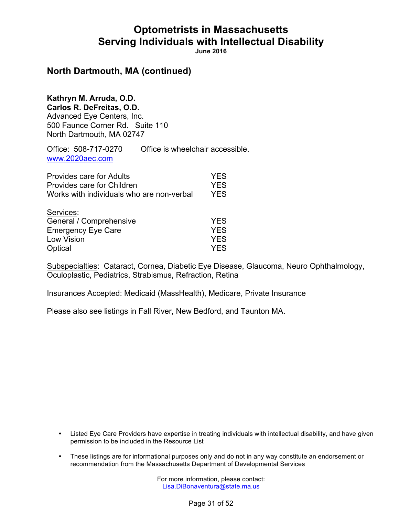**June 2016**

### **North Dartmouth, MA (continued)**

**Kathryn M. Arruda, O.D. Carlos R. DeFreitas, O.D.** Advanced Eye Centers, Inc. 500 Faunce Corner Rd. Suite 110 North Dartmouth, MA 02747

Office: 508-717-0270 Office is wheelchair accessible. www.2020aec.com

| <b>Provides care for Adults</b>           | <b>YES</b> |
|-------------------------------------------|------------|
| Provides care for Children                | <b>YES</b> |
| Works with individuals who are non-verbal | <b>YES</b> |
| Services:                                 |            |
| General / Comprehensive                   | <b>YES</b> |
| <b>Emergency Eye Care</b>                 | <b>YES</b> |
| Low Vision                                | <b>YES</b> |
| Optical                                   | <b>YES</b> |

Subspecialties: Cataract, Cornea, Diabetic Eye Disease, Glaucoma, Neuro Ophthalmology, Oculoplastic, Pediatrics, Strabismus, Refraction, Retina

Insurances Accepted: Medicaid (MassHealth), Medicare, Private Insurance

Please also see listings in Fall River, New Bedford, and Taunton MA.

- Listed Eye Care Providers have expertise in treating individuals with intellectual disability, and have given permission to be included in the Resource List
- These listings are for informational purposes only and do not in any way constitute an endorsement or recommendation from the Massachusetts Department of Developmental Services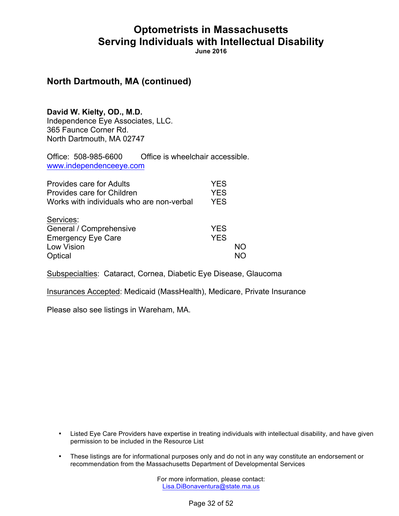**June 2016**

### **North Dartmouth, MA (continued)**

**David W. Kielty, OD., M.D.** Independence Eye Associates, LLC. 365 Faunce Corner Rd. North Dartmouth, MA 02747

Office: 508-985-6600 Office is wheelchair accessible. www.independenceeye.com

| Provides care for Adults<br>Provides care for Children<br>Works with individuals who are non-verbal | YES<br><b>YES</b><br><b>YES</b> |          |
|-----------------------------------------------------------------------------------------------------|---------------------------------|----------|
| Services:<br>General / Comprehensive<br><b>Emergency Eye Care</b><br>Low Vision<br>Optical          | <b>YES</b><br><b>YES</b>        | NΟ<br>NΩ |

Subspecialties: Cataract, Cornea, Diabetic Eye Disease, Glaucoma

Insurances Accepted: Medicaid (MassHealth), Medicare, Private Insurance

Please also see listings in Wareham, MA.

- Listed Eye Care Providers have expertise in treating individuals with intellectual disability, and have given permission to be included in the Resource List
- These listings are for informational purposes only and do not in any way constitute an endorsement or recommendation from the Massachusetts Department of Developmental Services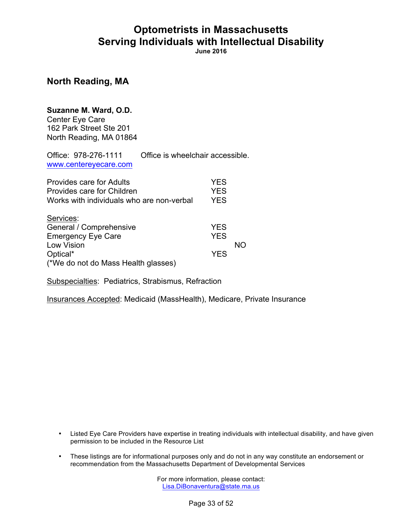**June 2016**

**North Reading, MA**

## **Suzanne M. Ward, O.D.**

Center Eye Care 162 Park Street Ste 201 North Reading, MA 01864

Office: 978-276-1111 Office is wheelchair accessible. www.centereyecare.com

| <b>Provides care for Adults</b><br>Provides care for Children<br>Works with individuals who are non-verbal | <b>YES</b><br><b>YES</b><br><b>YES</b> |    |
|------------------------------------------------------------------------------------------------------------|----------------------------------------|----|
| Services:                                                                                                  |                                        |    |
| General / Comprehensive                                                                                    | <b>YES</b>                             |    |
| <b>Emergency Eye Care</b>                                                                                  | <b>YES</b>                             |    |
| Low Vision                                                                                                 |                                        | NΟ |
| Optical*                                                                                                   | <b>YES</b>                             |    |
| (*We do not do Mass Health glasses)                                                                        |                                        |    |

Subspecialties: Pediatrics, Strabismus, Refraction

Insurances Accepted: Medicaid (MassHealth), Medicare, Private Insurance

- Listed Eye Care Providers have expertise in treating individuals with intellectual disability, and have given permission to be included in the Resource List
- These listings are for informational purposes only and do not in any way constitute an endorsement or recommendation from the Massachusetts Department of Developmental Services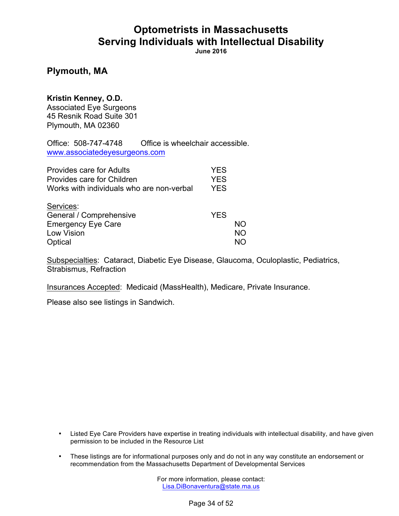**June 2016**

### **Plymouth, MA**

**Kristin Kenney, O.D.**

Associated Eye Surgeons 45 Resnik Road Suite 301 Plymouth, MA 02360

Office: 508-747-4748 Office is wheelchair accessible. www.associatedeyesurgeons.com

| <b>Provides care for Adults</b>           | <b>YES</b> |           |
|-------------------------------------------|------------|-----------|
| Provides care for Children                | <b>YES</b> |           |
| Works with individuals who are non-verbal | <b>YES</b> |           |
| Services:                                 |            |           |
| General / Comprehensive                   | <b>YES</b> |           |
| <b>Emergency Eye Care</b>                 |            | NΟ        |
| Low Vision                                |            | <b>NO</b> |
| Optical                                   |            | NΟ        |

Subspecialties: Cataract, Diabetic Eye Disease, Glaucoma, Oculoplastic, Pediatrics, Strabismus, Refraction

Insurances Accepted: Medicaid (MassHealth), Medicare, Private Insurance.

Please also see listings in Sandwich.

- Listed Eye Care Providers have expertise in treating individuals with intellectual disability, and have given permission to be included in the Resource List
- These listings are for informational purposes only and do not in any way constitute an endorsement or recommendation from the Massachusetts Department of Developmental Services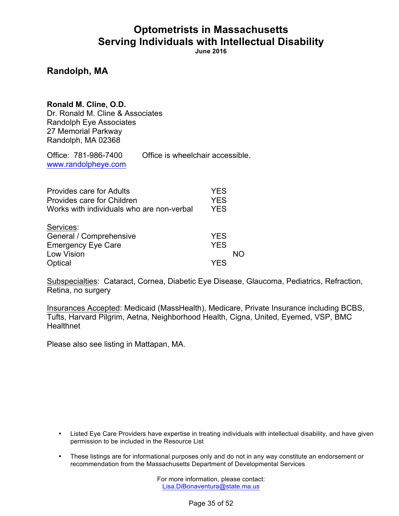**June 2016**

### **Randolph, MA**

**Ronald M. Cline, O.D.** Dr. Ronald M. Cline & Associates Randolph Eye Associates 27 Memorial Parkway Randolph, MA 02368

Office: 781-986-7400 Office is wheelchair accessible. www.randolpheye.com

| <b>Provides care for Adults</b>           | <b>YES</b> |    |
|-------------------------------------------|------------|----|
| Provides care for Children                | <b>YES</b> |    |
| Works with individuals who are non-verbal | <b>YES</b> |    |
| Services:                                 |            |    |
| General / Comprehensive                   | <b>YES</b> |    |
| <b>Emergency Eye Care</b>                 | <b>YES</b> |    |
| Low Vision                                |            | NΩ |
| Optical                                   | YFS        |    |

Subspecialties: Cataract, Cornea, Diabetic Eye Disease, Glaucoma, Pediatrics, Refraction, Retina, no surgery

Insurances Accepted: Medicaid (MassHealth), Medicare, Private Insurance including BCBS, Tufts, Harvard Pilgrim, Aetna, Neighborhood Health, Cigna, United, Eyemed, VSP, BMC **Healthnet** 

Please also see listing in Mattapan, MA.

- Listed Eye Care Providers have expertise in treating individuals with intellectual disability, and have given permission to be included in the Resource List
- These listings are for informational purposes only and do not in any way constitute an endorsement or recommendation from the Massachusetts Department of Developmental Services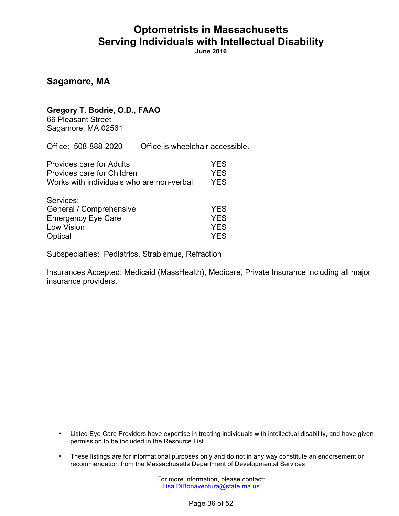**June 2016**

### **Sagamore, MA**

### **Gregory T. Bodrie, O.D., FAAO**

66 Pleasant Street Sagamore, MA 02561

Office: 508-888-2020 Office is wheelchair accessible.

| <b>Provides care for Adults</b>           | <b>YES</b> |
|-------------------------------------------|------------|
| Provides care for Children                | <b>YES</b> |
| Works with individuals who are non-verbal | <b>YES</b> |
| Services:                                 |            |
| General / Comprehensive                   | <b>YES</b> |
| <b>Emergency Eye Care</b>                 | <b>YES</b> |
| Low Vision                                | <b>YES</b> |
| Optical                                   | YES.       |

Subspecialties: Pediatrics, Strabismus, Refraction

Insurances Accepted: Medicaid (MassHealth), Medicare, Private Insurance including all major insurance providers.

- Listed Eye Care Providers have expertise in treating individuals with intellectual disability, and have given permission to be included in the Resource List
- These listings are for informational purposes only and do not in any way constitute an endorsement or recommendation from the Massachusetts Department of Developmental Services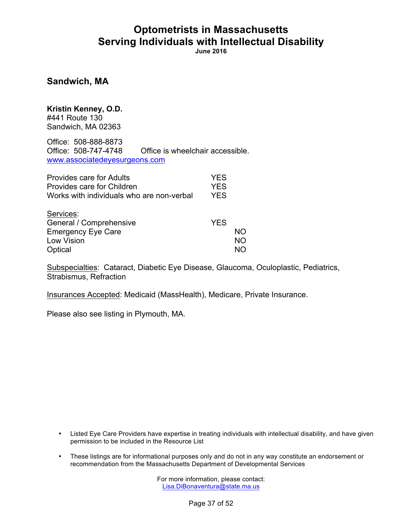**June 2016**

**Sandwich, MA**

**Kristin Kenney, O.D.** #441 Route 130 Sandwich, MA 02363

Office: 508-888-8873 Office: 508-747-4748 Office is wheelchair accessible. www.associatedeyesurgeons.com

| <b>Provides care for Adults</b>           | <b>YES</b> |    |
|-------------------------------------------|------------|----|
| Provides care for Children                | <b>YES</b> |    |
| Works with individuals who are non-verbal | <b>YES</b> |    |
| Services:                                 |            |    |
| General / Comprehensive                   | <b>YES</b> |    |
| <b>Emergency Eye Care</b>                 |            | NΟ |
| Low Vision                                |            | NΟ |
| Optical                                   |            | NΩ |

Subspecialties: Cataract, Diabetic Eye Disease, Glaucoma, Oculoplastic, Pediatrics, Strabismus, Refraction

Insurances Accepted: Medicaid (MassHealth), Medicare, Private Insurance.

Please also see listing in Plymouth, MA.

- Listed Eye Care Providers have expertise in treating individuals with intellectual disability, and have given permission to be included in the Resource List
- These listings are for informational purposes only and do not in any way constitute an endorsement or recommendation from the Massachusetts Department of Developmental Services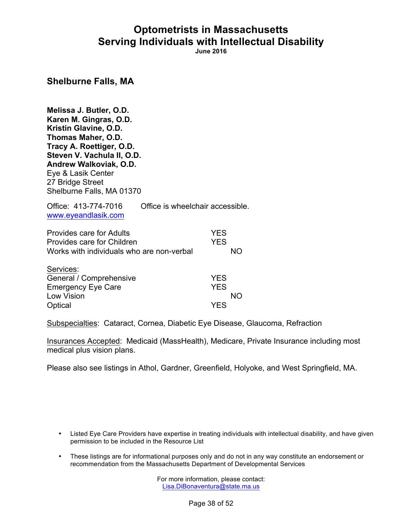**June 2016**

**Shelburne Falls, MA**

**Melissa J. Butler, O.D. Karen M. Gingras, O.D. Kristin Glavine, O.D. Thomas Maher, O.D. Tracy A. Roettiger, O.D. Steven V. Vachula II, O.D. Andrew Walkoviak, O.D.** Eye & Lasik Center 27 Bridge Street Shelburne Falls, MA 01370

Office: 413-774-7016 Office is wheelchair accessible. www.eyeandlasik.com

| <b>Provides care for Adults</b>           | <b>YES</b> |
|-------------------------------------------|------------|
| Provides care for Children                | <b>YES</b> |
| Works with individuals who are non-verbal | NO.        |
| $\bigcap$ and $\bigcap$ and $\bigcap$     |            |

| Services:                 |            |
|---------------------------|------------|
| General / Comprehensive   | <b>YES</b> |
| <b>Emergency Eye Care</b> | <b>YES</b> |
| Low Vision                | NO.        |
| Optical                   | <b>YES</b> |

Subspecialties: Cataract, Cornea, Diabetic Eye Disease, Glaucoma, Refraction

Insurances Accepted: Medicaid (MassHealth), Medicare, Private Insurance including most medical plus vision plans.

Please also see listings in Athol, Gardner, Greenfield, Holyoke, and West Springfield, MA.

- Listed Eye Care Providers have expertise in treating individuals with intellectual disability, and have given permission to be included in the Resource List
- These listings are for informational purposes only and do not in any way constitute an endorsement or recommendation from the Massachusetts Department of Developmental Services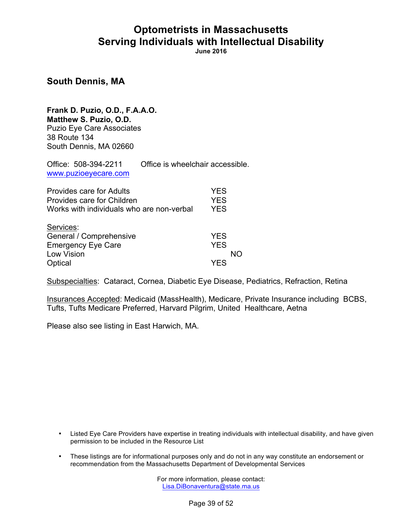**June 2016**

**South Dennis, MA**

**Frank D. Puzio, O.D., F.A.A.O. Matthew S. Puzio, O.D.** Puzio Eye Care Associates 38 Route 134 South Dennis, MA 02660

Office: 508-394-2211 Office is wheelchair accessible. www.puzioeyecare.com

| Provides care for Adults                  | <b>YES</b> |
|-------------------------------------------|------------|
| Provides care for Children                | <b>YES</b> |
| Works with individuals who are non-verbal | <b>YES</b> |
| Services:                                 |            |
| General / Comprehensive                   | <b>YES</b> |
| <b>Emergency Eye Care</b>                 | <b>YES</b> |
| Low Vision                                | NΩ         |
| Optical                                   | YES        |

Subspecialties: Cataract, Cornea, Diabetic Eye Disease, Pediatrics, Refraction, Retina

Insurances Accepted: Medicaid (MassHealth), Medicare, Private Insurance including BCBS, Tufts, Tufts Medicare Preferred, Harvard Pilgrim, United Healthcare, Aetna

Please also see listing in East Harwich, MA.

- Listed Eye Care Providers have expertise in treating individuals with intellectual disability, and have given permission to be included in the Resource List
- These listings are for informational purposes only and do not in any way constitute an endorsement or recommendation from the Massachusetts Department of Developmental Services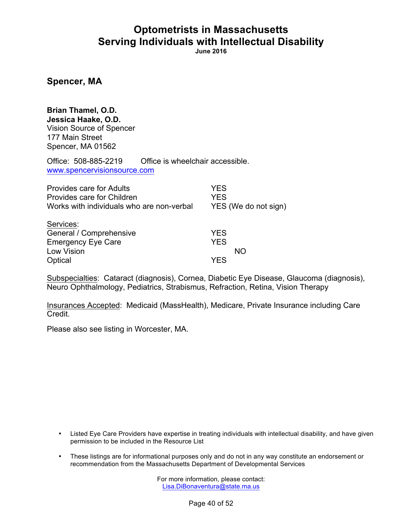**June 2016**

**Spencer, MA**

**Brian Thamel, O.D. Jessica Haake, O.D.** Vision Source of Spencer 177 Main Street Spencer, MA 01562

Office: 508-885-2219 Office is wheelchair accessible. www.spencervisionsource.com

| <b>Provides care for Adults</b><br>Provides care for Children<br>Works with individuals who are non-verbal | <b>YES</b><br><b>YES</b><br>YES (We do not sign) |
|------------------------------------------------------------------------------------------------------------|--------------------------------------------------|
| Services:<br>General / Comprehensive<br><b>Emergency Eye Care</b><br><b>Low Vision</b>                     | <b>YES</b><br><b>YES</b><br>NO                   |
| Optical                                                                                                    | YES                                              |

Subspecialties: Cataract (diagnosis), Cornea, Diabetic Eye Disease, Glaucoma (diagnosis), Neuro Ophthalmology, Pediatrics, Strabismus, Refraction, Retina, Vision Therapy

Insurances Accepted: Medicaid (MassHealth), Medicare, Private Insurance including Care **Credit** 

Please also see listing in Worcester, MA.

- Listed Eye Care Providers have expertise in treating individuals with intellectual disability, and have given permission to be included in the Resource List
- These listings are for informational purposes only and do not in any way constitute an endorsement or recommendation from the Massachusetts Department of Developmental Services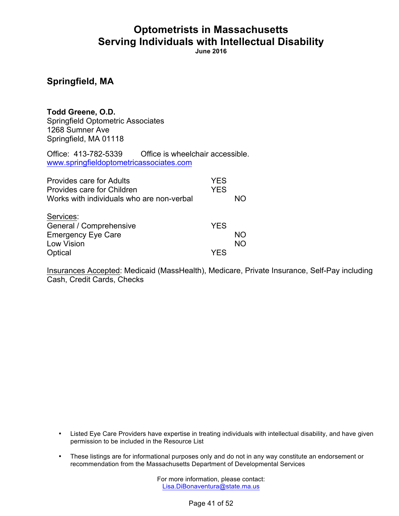**June 2016**

### **Springfield, MA**

**Todd Greene, O.D.** Springfield Optometric Associates 1268 Sumner Ave Springfield, MA 01118

Office: 413-782-5339 Office is wheelchair accessible. www.springfieldoptometricassociates.com

| Provides care for Adults<br>Provides care for Children<br>Works with individuals who are non-verbal | YES<br><b>YES</b> | NΩ        |
|-----------------------------------------------------------------------------------------------------|-------------------|-----------|
| Services:<br>General / Comprehensive<br><b>Emergency Eye Care</b>                                   | <b>YES</b>        | NΟ        |
| Low Vision<br>Optical                                                                               | YFS               | <b>NO</b> |

Insurances Accepted: Medicaid (MassHealth), Medicare, Private Insurance, Self-Pay including Cash, Credit Cards, Checks

- Listed Eye Care Providers have expertise in treating individuals with intellectual disability, and have given permission to be included in the Resource List
- These listings are for informational purposes only and do not in any way constitute an endorsement or recommendation from the Massachusetts Department of Developmental Services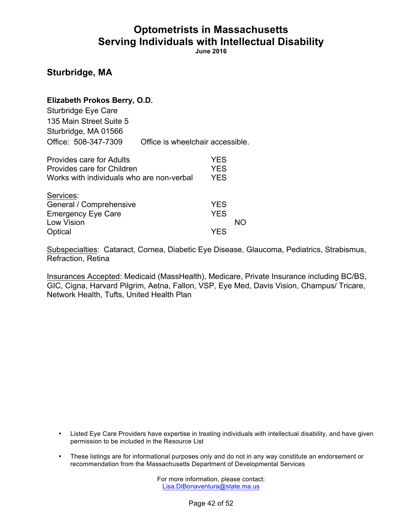**June 2016**

**Sturbridge, MA**

| Elizabeth Prokos Berry, O.D. |                                  |
|------------------------------|----------------------------------|
| Sturbridge Eye Care          |                                  |
| 135 Main Street Suite 5      |                                  |
| Sturbridge, MA 01566         |                                  |
| Office: 508-347-7309         | Office is wheelchair accessible. |

| <b>Provides care for Adults</b>           | <b>YES</b> |    |
|-------------------------------------------|------------|----|
| Provides care for Children                | <b>YES</b> |    |
| Works with individuals who are non-verbal | <b>YES</b> |    |
| Services:                                 |            |    |
| General / Comprehensive                   | <b>YES</b> |    |
| <b>Emergency Eye Care</b>                 | <b>YES</b> |    |
| Low Vision                                |            | חמ |
| Optical                                   | YES        |    |

Subspecialties: Cataract, Cornea, Diabetic Eye Disease, Glaucoma, Pediatrics, Strabismus, Refraction, Retina

Insurances Accepted: Medicaid (MassHealth), Medicare, Private Insurance including BC/BS, GIC, Cigna, Harvard Pilgrim, Aetna, Fallon, VSP, Eye Med, Davis Vision, Champus/ Tricare, Network Health, Tufts, United Health Plan

- Listed Eye Care Providers have expertise in treating individuals with intellectual disability, and have given permission to be included in the Resource List
- These listings are for informational purposes only and do not in any way constitute an endorsement or recommendation from the Massachusetts Department of Developmental Services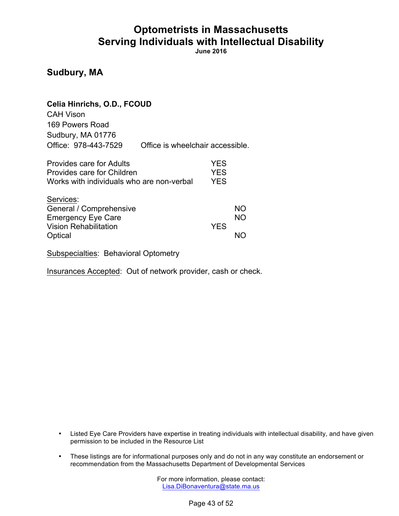**June 2016**

### **Sudbury, MA**

### **Celia Hinrichs, O.D., FCOUD**  CAH Vison 169 Powers Road Sudbury, MA 01776 Office: 978-443-7529 Office is wheelchair accessible.

| <b>Provides care for Adults</b>           | <b>YES</b> |           |
|-------------------------------------------|------------|-----------|
| Provides care for Children                | <b>YES</b> |           |
| Works with individuals who are non-verbal | <b>YES</b> |           |
| Services:                                 |            |           |
| General / Comprehensive                   |            | <b>NO</b> |
| <b>Emergency Eye Care</b>                 |            | <b>NO</b> |
| <b>Vision Rehabilitation</b>              | <b>YES</b> |           |
| Optical                                   |            |           |

Subspecialties: Behavioral Optometry

Insurances Accepted: Out of network provider, cash or check.

- Listed Eye Care Providers have expertise in treating individuals with intellectual disability, and have given permission to be included in the Resource List
- These listings are for informational purposes only and do not in any way constitute an endorsement or recommendation from the Massachusetts Department of Developmental Services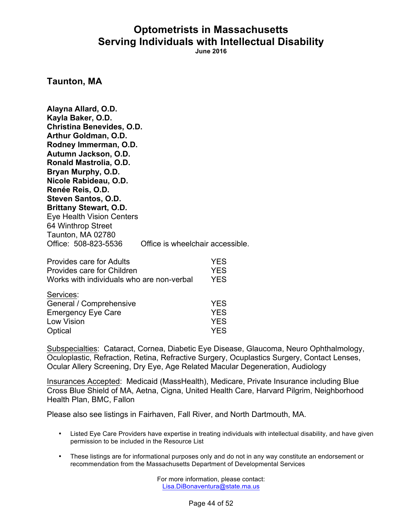**June 2016**

**Taunton, MA**

**Alayna Allard, O.D. Kayla Baker, O.D. Christina Benevides, O.D. Arthur Goldman, O.D. Rodney Immerman, O.D. Autumn Jackson, O.D. Ronald Mastrolia, O.D. Bryan Murphy, O.D. Nicole Rabideau, O.D. Renée Reis, O.D. Steven Santos, O.D. Brittany Stewart, O.D.** Eye Health Vision Centers 64 Winthrop Street Taunton, MA 02780 Office: 508-823-5536 Office is wheelchair accessible.

| <b>Provides care for Adults</b>           | <b>YES</b> |
|-------------------------------------------|------------|
| Provides care for Children                | <b>YES</b> |
| Works with individuals who are non-verbal | <b>YES</b> |
| Services:                                 |            |
| General / Comprehensive                   | <b>YES</b> |
| <b>Emergency Eye Care</b>                 | <b>YES</b> |
| Low Vision                                | <b>YES</b> |
| Optical                                   | <b>YES</b> |

Subspecialties: Cataract, Cornea, Diabetic Eye Disease, Glaucoma, Neuro Ophthalmology, Oculoplastic, Refraction, Retina, Refractive Surgery, Ocuplastics Surgery, Contact Lenses, Ocular Allery Screening, Dry Eye, Age Related Macular Degeneration, Audiology

Insurances Accepted: Medicaid (MassHealth), Medicare, Private Insurance including Blue Cross Blue Shield of MA, Aetna, Cigna, United Health Care, Harvard Pilgrim, Neighborhood Health Plan, BMC, Fallon

Please also see listings in Fairhaven, Fall River, and North Dartmouth, MA.

- Listed Eye Care Providers have expertise in treating individuals with intellectual disability, and have given permission to be included in the Resource List
- These listings are for informational purposes only and do not in any way constitute an endorsement or recommendation from the Massachusetts Department of Developmental Services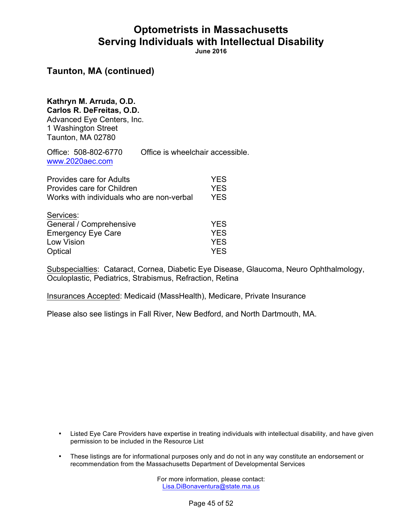**June 2016**

### **Taunton, MA (continued)**

#### **Kathryn M. Arruda, O.D. Carlos R. DeFreitas, O.D.**

Advanced Eye Centers, Inc. 1 Washington Street Taunton, MA 02780

Office: 508-802-6770 Office is wheelchair accessible. www.2020aec.com

| Provides care for Adults                  | <b>YES</b> |
|-------------------------------------------|------------|
| Provides care for Children                | <b>YES</b> |
| Works with individuals who are non-verbal | <b>YES</b> |
| Services:                                 |            |
| General / Comprehensive                   | <b>YES</b> |
| <b>Emergency Eye Care</b>                 | <b>YES</b> |
| Low Vision                                | <b>YES</b> |
| Optical                                   | <b>YES</b> |

Subspecialties: Cataract, Cornea, Diabetic Eye Disease, Glaucoma, Neuro Ophthalmology, Oculoplastic, Pediatrics, Strabismus, Refraction, Retina

Insurances Accepted: Medicaid (MassHealth), Medicare, Private Insurance

Please also see listings in Fall River, New Bedford, and North Dartmouth, MA.

- Listed Eye Care Providers have expertise in treating individuals with intellectual disability, and have given permission to be included in the Resource List
- These listings are for informational purposes only and do not in any way constitute an endorsement or recommendation from the Massachusetts Department of Developmental Services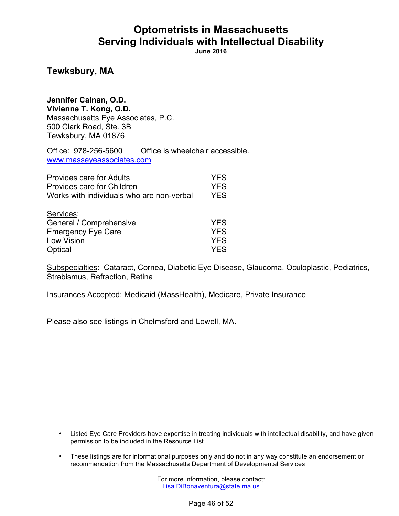**June 2016**

### **Tewksbury, MA**

**Jennifer Calnan, O.D. Vivienne T. Kong, O.D.** Massachusetts Eye Associates, P.C. 500 Clark Road, Ste. 3B Tewksbury, MA 01876

Office: 978-256-5600 Office is wheelchair accessible. www.masseyeassociates.com

| <b>Provides care for Adults</b>           | <b>YES</b> |
|-------------------------------------------|------------|
| Provides care for Children                | <b>YES</b> |
| Works with individuals who are non-verbal | <b>YES</b> |
| Services:                                 |            |
| General / Comprehensive                   | <b>YES</b> |
| <b>Emergency Eye Care</b>                 | <b>YES</b> |
| Low Vision                                | <b>YES</b> |
| Optical                                   | <b>YES</b> |

Subspecialties: Cataract, Cornea, Diabetic Eye Disease, Glaucoma, Oculoplastic, Pediatrics, Strabismus, Refraction, Retina

Insurances Accepted: Medicaid (MassHealth), Medicare, Private Insurance

Please also see listings in Chelmsford and Lowell, MA.

- Listed Eye Care Providers have expertise in treating individuals with intellectual disability, and have given permission to be included in the Resource List
- These listings are for informational purposes only and do not in any way constitute an endorsement or recommendation from the Massachusetts Department of Developmental Services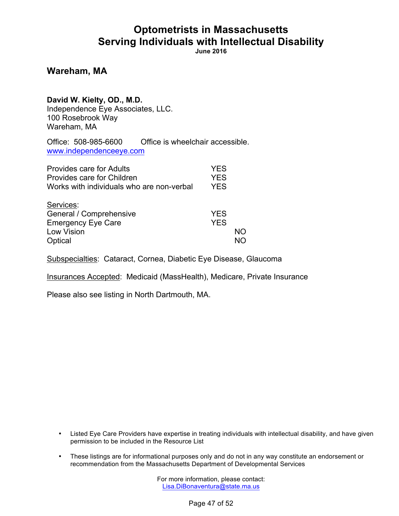**June 2016**

**Wareham, MA**

**David W. Kielty, OD., M.D.**

Independence Eye Associates, LLC. 100 Rosebrook Way Wareham, MA

Office: 508-985-6600 Office is wheelchair accessible. www.independenceeye.com

| <b>Provides care for Adults</b><br>Provides care for Children<br>Works with individuals who are non-verbal | <b>YES</b><br><b>YES</b><br><b>YES</b> |    |
|------------------------------------------------------------------------------------------------------------|----------------------------------------|----|
| Services:<br>General / Comprehensive<br><b>Emergency Eye Care</b><br>Low Vision<br>Optical                 | <b>YES</b><br><b>YES</b>               | NΟ |

Subspecialties: Cataract, Cornea, Diabetic Eye Disease, Glaucoma

Insurances Accepted: Medicaid (MassHealth), Medicare, Private Insurance

Please also see listing in North Dartmouth, MA.

- Listed Eye Care Providers have expertise in treating individuals with intellectual disability, and have given permission to be included in the Resource List
- These listings are for informational purposes only and do not in any way constitute an endorsement or recommendation from the Massachusetts Department of Developmental Services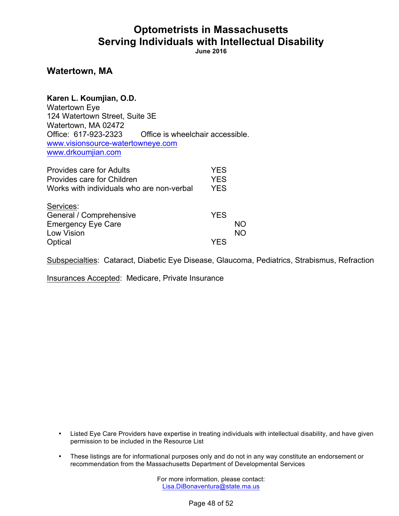**June 2016**

### **Watertown, MA**

| Karen L. Koumjian, O.D.           |                                  |
|-----------------------------------|----------------------------------|
| <b>Watertown Eye</b>              |                                  |
| 124 Watertown Street, Suite 3E    |                                  |
| Watertown, MA 02472               |                                  |
| Office: 617-923-2323              | Office is wheelchair accessible. |
| www.visionsource-watertowneye.com |                                  |
| www.drkoumjian.com                |                                  |

| Provides care for Adults<br>Provides care for Children<br>Works with individuals who are non-verbal | <b>YES</b><br><b>YES</b><br><b>YES</b> |    |
|-----------------------------------------------------------------------------------------------------|----------------------------------------|----|
| Services:<br>General / Comprehensive<br><b>Emergency Eye Care</b>                                   | <b>YES</b>                             | NΟ |
| Low Vision<br>Optical                                                                               | YES                                    | NO |

Subspecialties: Cataract, Diabetic Eye Disease, Glaucoma, Pediatrics, Strabismus, Refraction

Insurances Accepted: Medicare, Private Insurance

- Listed Eye Care Providers have expertise in treating individuals with intellectual disability, and have given permission to be included in the Resource List
- These listings are for informational purposes only and do not in any way constitute an endorsement or recommendation from the Massachusetts Department of Developmental Services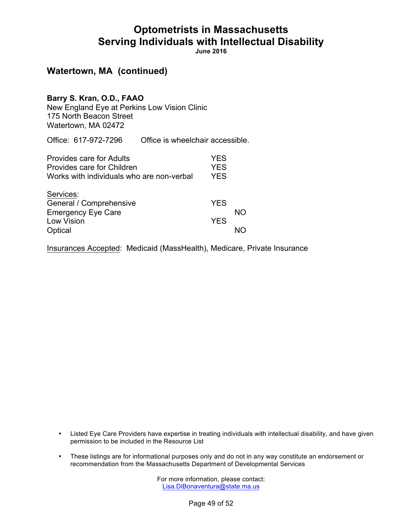**June 2016**

### **Watertown, MA (continued)**

#### **Barry S. Kran, O.D., FAAO**

New England Eye at Perkins Low Vision Clinic 175 North Beacon Street Watertown, MA 02472

Office: 617-972-7296 Office is wheelchair accessible.

| <b>Provides care for Adults</b><br>Provides care for Children<br>Works with individuals who are non-verbal | <b>YES</b><br><b>YES</b><br><b>YES</b> |    |
|------------------------------------------------------------------------------------------------------------|----------------------------------------|----|
| Services:<br>General / Comprehensive<br><b>Emergency Eye Care</b><br><b>Low Vision</b><br>Optical          | <b>YES</b><br><b>YES</b>               | NΟ |

Insurances Accepted: Medicaid (MassHealth), Medicare, Private Insurance

- Listed Eye Care Providers have expertise in treating individuals with intellectual disability, and have given permission to be included in the Resource List
- These listings are for informational purposes only and do not in any way constitute an endorsement or recommendation from the Massachusetts Department of Developmental Services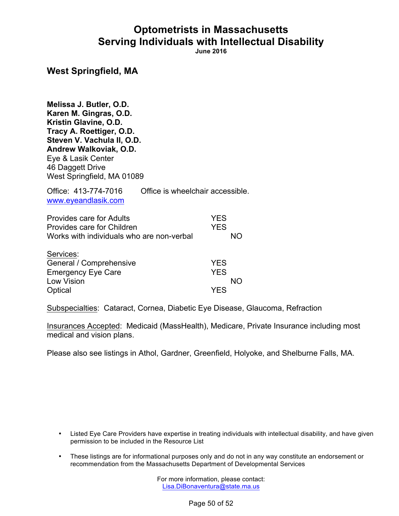**June 2016**

#### **West Springfield, MA**

**Melissa J. Butler, O.D. Karen M. Gingras, O.D. Kristin Glavine, O.D. Tracy A. Roettiger, O.D. Steven V. Vachula II, O.D. Andrew Walkoviak, O.D.** Eye & Lasik Center 46 Daggett Drive West Springfield, MA 01089

Office: 413-774-7016 Office is wheelchair accessible. www.eyeandlasik.com

| <b>Provides care for Adults</b>           | <b>YES</b> |
|-------------------------------------------|------------|
| Provides care for Children                | <b>YES</b> |
| Works with individuals who are non-verbal | NΟ         |
| Services:                                 |            |
| General / Comprehensive                   | <b>YES</b> |
| <b>Emergency Eye Care</b>                 | <b>YES</b> |
| Low Vision                                | NΟ         |
| Optical                                   | YES        |

Subspecialties: Cataract, Cornea, Diabetic Eye Disease, Glaucoma, Refraction

Insurances Accepted: Medicaid (MassHealth), Medicare, Private Insurance including most medical and vision plans.

Please also see listings in Athol, Gardner, Greenfield, Holyoke, and Shelburne Falls, MA.

- Listed Eye Care Providers have expertise in treating individuals with intellectual disability, and have given permission to be included in the Resource List
- These listings are for informational purposes only and do not in any way constitute an endorsement or recommendation from the Massachusetts Department of Developmental Services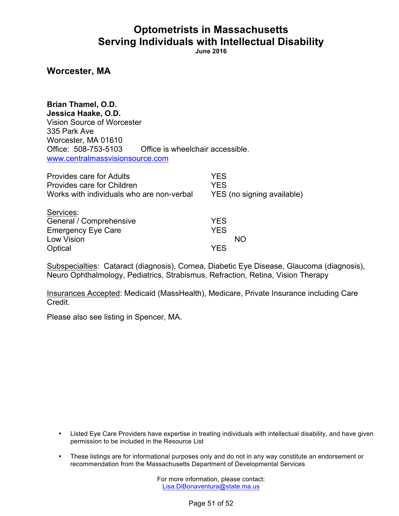**June 2016**

**Worcester, MA**

**Brian Thamel, O.D. Jessica Haake, O.D.** Vision Source of Worcester 335 Park Ave Worcester, MA 01610 Office: 508-753-5103 Office is wheelchair accessible. www.centralmassvisionsource.com

| Provides care for Adults                  | <b>YES</b>                 |
|-------------------------------------------|----------------------------|
| Provides care for Children                | <b>YES</b>                 |
| Works with individuals who are non-verbal | YES (no signing available) |
| Services:                                 |                            |
| General / Comprehensive                   | <b>YES</b>                 |
| <b>Emergency Eye Care</b>                 | <b>YES</b>                 |
| <b>Low Vision</b>                         | NΟ                         |
| Optical                                   | YFS                        |
|                                           |                            |

Subspecialties: Cataract (diagnosis), Cornea, Diabetic Eye Disease, Glaucoma (diagnosis), Neuro Ophthalmology, Pediatrics, Strabismus, Refraction, Retina, Vision Therapy

Insurances Accepted: Medicaid (MassHealth), Medicare, Private Insurance including Care Credit.

Please also see listing in Spencer, MA.

- Listed Eye Care Providers have expertise in treating individuals with intellectual disability, and have given permission to be included in the Resource List
- These listings are for informational purposes only and do not in any way constitute an endorsement or recommendation from the Massachusetts Department of Developmental Services